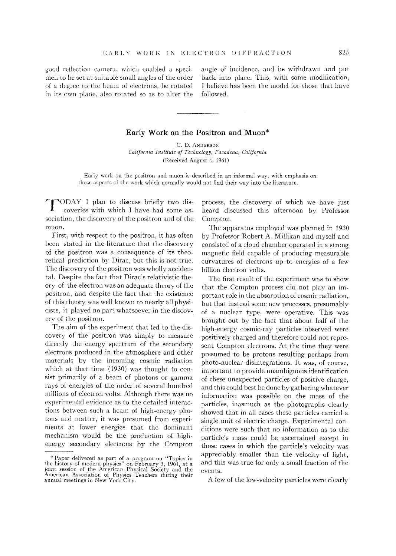good reflection camera, which enabled a specimen to be set at suitable small angles of the order of a degree to the beam of electrons, be rotated in its own plane, also rotated so as to alter the angle of incidence, and be withdrawn and put back into place. This, with some modification, I believe has been the model for those that have followed.

## **Early Work on the Positron and Muon\***

C. D. ANDERSON *California Institute of Technology, Pasadena, California*  (Received August 4, 1961)

Early work on the positron and muon is described in an informal way, with emphasis on those aspects of the work which normally would not find their way into the literature.

T ODAY I plan to discuss briefly two dis-coveries with which I have had some association, the discovery of the positron and of the muon.

First, with respect to the positron, it has often been stated in the literature that the discovery of the positron was a consequence of its theoretical prediction by Dirac, but this is not true. The discovery of the positron was wholly accidental. Despite the fact that Dirac's relativistic theory of the electron was an adequate theory of the positron, and despite the fact that the existence of this theory was well known to nearly all physicists, it played no part whatsoever in the discovery of the positron.

The aim of the experiment that led to the discovery of the positron was simply to measure directly the energy spectrum of the secondary electrons produced in the atmosphere and other materials by the incoming cosmic radiation which at that time (1930) was thought to consist primarily of a beam of photons or gamma rays of energies of the order of several hundred millions of electron volts. Although there was no experimental evidence as to the detailed interactions between such a beam of high-energy photons and matter, it was presumed from experiments at lower energies that the dominant mechanism would be the production of highenergy secondary electrons by the Compton

process, the discovery of which we have just heard discussed this afternoon by Professor Compton.

The apparatus employed was planned in 1930 by Professor Robert A. Millikan and myself and consisted of a cloud chamber operated in a strong magnetic field capable of producing measurable curvatures of electrons up to energies of a few billion electron volts.

The first result of the experiment was to show that the Compton process did not play an important role in the absorption of cosmic radiation, but that instead some new processes, presumably of a nuclear type, were operative. This was brought out by the fact that about half of the high-energy cosmic-ray particles observed were positively charged and therefore could not represent Compton electrons. At the time they were presumed to be protons resulting perhaps from photo-nuclear disintegrations. It was, of course, important to provide unambiguous identification of these unexpected particles of positive charge, and this could best be done by gathering whatever information was possible on the mass of the particles, inasmuch as the photographs clearly showed that in all cases these particles carried a single unit of electric charge. Experimental conditions were such that no information as to the particle's mass could be ascertained except in those cases in which the particle's velocity was appreciably smaller than the velocity of light, and this was true for only a small fraction of the events.

A few of the low-velocity particles were clearly

<sup>\*</sup> Paper delivered as part of a program on "Topics in the history of modern physics" on February 3, 1961, at a joint session of the American Physical Society and the American Association of Physics Teachers during their annual meetings in New York City.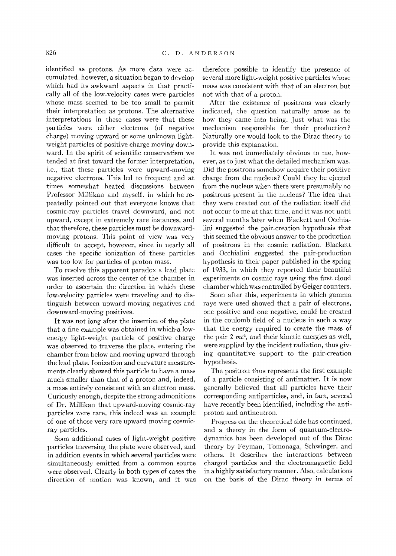identified as protons. As more data were accumulated, however, a situation began to develop which had its awkward aspects in that practically all of the low-velocity cases were particles whose mass seemed to be too small to permit their interpretation as protons. The alternative interpretations in these cases were that these particles were either electrons (of negative charge) moving upward or some unknown lightweight particles of positive charge moving downward. In the spirit of scientific conservatism we tended at first toward the former interpretation, i.e., that these particles were upward-moving negative electrons. This led to frequent and at times somewhat heated discussions between Professor Millikan and myself, in which herepeatedly pointed out that everyone knows that cosmic-ray particles travel downward, and not upward, except in extremely rare instances, and that therefore, these particles must be downwardmoving protons. This point of view was very difficult to accept, however, since in nearly all cases the specific ionization of these particles was too low for particles of proton mass.

To resolve this apparent paradox a lead plate was inserted across the center of the chamber in order to ascertain the direction in which these low-velocity particles were traveling and to distinguish between upward-moving negatives and downward-moving positives.

It was not long after the insertion of the plate that a fine example was obtained in which a lowenergy light-weight particle of positive charge was observed to traverse the plate, entering the chamber from below and moving upward through the lead plate. Ionization and curvature measurements clearly showed this particle to have a mass much smaller than that of a proton and, indeed, a mass entirely consistent with an electron mass. Curiously enough, despite the strong admonitions of Dr. Millikan that upward-moving cosmic-ray particles were rare, this indeed was an example of one of those very rare upward-moving cosmicray particles.

Soon additional cases of light-weight positive particles traversing the plate were observed, and in addition events in which several particles were simultaneously emitted from a common source were observed. Clearly in both types of cases the direction of motion was known, and it was therefore possible to identify the presence of several more light-weight positive particles whose mass was consistent with that of an electron but not with that of a proton.

After the existence of positrons was clearly indicated, the question naturally arose as to how they came into being. Just what was the mechanism responsible for their production? Naturally one would look to the Dirac theory to provide this explanation.

It was not immediately obvious to me, however, as to just what the detailed mechanism was. Did the positrons somehow acquire their positive charge from the nucleus? Could they be ejected from the nucleus when there were presumably no positrons present in the nucleus? The idea that they were created out of the radiation itself did not occur to me at that time, and it was not until several months later when Blackett and Occhialini suggested the pair-creation hypothesis that this seemed the obvious answer to the production of positrons in the cosmic radiation. Blackett and Occhialini suggested the pair-production hypothesis in their paper published in the spring of 1933, in which they reported their beautiful experiments on cosmic rays using the first cloud chamber which was controlled by Geiger counters.

Soon after this, experiments in which gamma rays were used showed that a pair of electrons, one positive and one negative, could be created in the coulomb field of a nucleus in such a way that the energy required to create the mass of the pair 2 *mc*2, and their kinetic energies as well, were supplied by the incident radiation, thus giving quantitative support to the pair-creation hypothesis.

The positron thus represents the first example of a particle consisting of antimatter. It is now generally believed that all particles have their corresponding antiparticles, and, in fact, several have recently been identified, including the antiproton and antineutron.

Progress on the theoretical side has continued, and a theory in the form of quantum-electrodynamics has been developed out of the Dirac theory by Feyman, Tomonaga, Schwinger, and others. It describes the interactions between charged particles and the electromagnetic field in a highly satisfactory manner. Also, calculations on the basis of the Dirac theory in terms of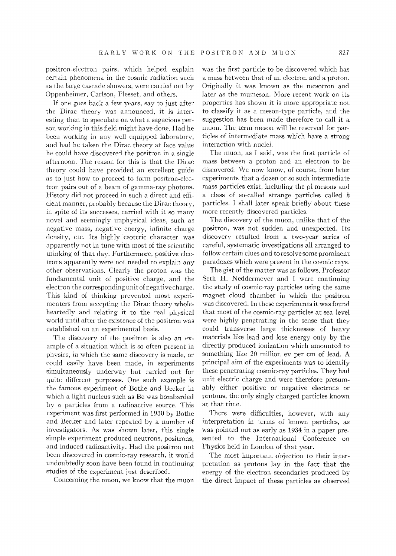positron-electron pairs, which helped explain certain phenomena in the cosmic radiation such as the large cascade showers, were carried out by Oppenheimer, Carlson, Plesset, and others.

If one goes back a few years, say to just after the Dirac theory was announced, it is interesting then to speculate on what a sagacious person working in this field might have done. Had he been working in any well equipped laboratory, and had he taken the Dirac theory at face value he could have discovered the positron in a single afternoon. The reason for this is that the Dirac theory could have provided an excellent guide as to just how to proceed to form positron-electron pairs out of a beam of gamma-ray photons. History did not proceed in such a direct and efficient manner, probably because the Dirac theory, in spite of its successes, carried with it so many novel and seemingly unphysical ideas, such as negative mass, negative energy, infinite charge density, etc. Its highly esoteric character was apparently not in tune with most of the scientific thinking of that day. Furthermore, positive electrons apparently were not needed to explain any other observations. Clearly the proton was the fundamental unit of positive charge, and the electron the correspondingunitof negative charge. This kind of thinking prevented most experimenters from accepting the Dirac theory wholeheartedly and relating it to the real physical world until after the existence of the positron was established on an experimental basis.

The discovery of the positron is also an example of a situation which is so often present in physics, in which the same discovery is made, or could easily have been made, in experiments simultaneously underway but carried out for quite different purposes. One such example is the famous experiment of Bothe and Becker in which a light nucleus such as Be was bombarded by  $\alpha$  particles from a radioactive source. This experiment was first performed in 1930 by Bothe and Becker and later repeated by a number of investigators. As was shown later, this single simple experiment produced neutrons, positrons, and induced radioactivity. Had the positron not been discovered in cosmic-ray research, it would undoubtedly soon have been found in continuing studies of the experiment just described.

Concerning the muon, we know that the muon

was the first particle to be discovered which has a mass between that of an electron and a proton. Originally it was known as the mesotron and later as the mumeson. More recent work on its properties has shown it is more appropriate not to classify it as a meson-type particle, and the suggestion has been made therefore to call it a muon. The term meson will be reserved for particles of intermediate mass which have a strong interaction with nuclei.

The muon, as I said, was the first particle of mass between a proton and an electron to be discovered. We now know, of course, from later experiments that a dozen or so such intermediate mass particles exist, including the pi mesons and a class of so-called strange particles called *k*  particles. I shall later speak briefly about these more recently discovered particles.

The discovery of the muon, unlike that of the positron, was not sudden and unexpected. Its discovery resulted from a two-year series of careful, systematic investigations all arranged to follow certain clues and toresolvesomeprominent paradoxes which were present in the cosmic rays.

The gist of the matter was as follows. Professor Seth H. Neddenneyer and I were continuing the study of cosmic-ray particles using the same magnet cloud chamber in which the positron was discovered. In these experiments it was found that most of the cosmic-ray particles at sea level were highly penetrating in the sense that they could transverse large thicknesses of heavy materials like lead and lose energy only by the directly produced ionization which amounted to something like 20 million ev per em of lead. A principal aim of the experiments was to identify these penetrating cosmic-ray particles. They had unit electric charge and were therefore presumably either positive or negative electrons or protons, the only singly charged particles known at that time.

There were difficulties, however, with any interpretation in terms of known particles, as was pointed out as early as 1934 in a paper presented to the International Conference on Physics held in London of that year.

The most important objection to their interpretation as protons lay in the fact that the energy of the electron secondaries produced by the direct impact of these particles as observed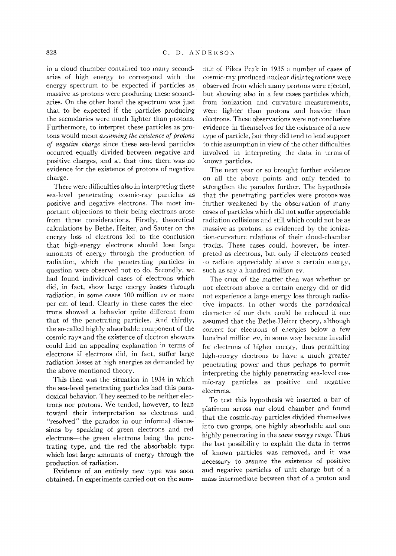in a cloud chamber contained too many secondaries of high energy to correspond with the energy spectrum to be expected if particles as massive as protons were producing these secondaries. On the other hand the spectrum was just that to be expected if the particles producing the secondaries were much lighter than protons. Furthermore, to interpret these particles as protons would mean *assuming the existence of protons of negative charge* since these sea-level particles occurred equally divided between negative and positive charges, and at that time there was no evidence for the existence of protons of negative charge.

There were difficulties also in interpreting these sea-level penetrating cosmic-ray particles as positive and negative electrons. The most important objections to their being electrons arose from three considerations. Firstly, theoretical calculations by Bethe, Heiter, and Sauter on the energy loss of electrons led to the conclusion that high-energy electrons should lose large amounts of energy through the production of radiation, which the penetrating particles in question were observed not to do. Secondly, we had found individual cases of electrons which did, in fact, show large energy losses through radiation, in some cases 100 million ev or more per em of lead. Clearly in these cases the electrons showed a behavior quite different from that of the penetrating particles. And thirdly, the so-called highly absorbable component of the cosmic rays and the existence of electron showers could find an appealing explanation in terms of electrons if electrons did, in fact, suffer large radiation losses at high energies as demanded by the above mentioned theory.

This then was the situation in 1934 in which the sea-level penetrating particles had this paradoxical behavior. They seemed to be neither electrons nor protons. We tended, however, to lean toward their interpretation as electrons and "resolved" the paradox in our informal discussions by speaking of green electrons and red electrons-the green electrons being the penetrating type, and the red the absorbable type which lost large amounts of energy through the production of radiation.

Evidence of an entirely new type was soon obtained. In experiments carried out on the summit of Pikes Peak in 1935 a number of cases of cosmic-ray produced nuclear disintegrations were observed from which many protons were ejected, but showing also in a few cases particles which, from ionization and curvature measurements, were lighter than protons and heavier than electrons. These observations were not conclusive evidence in themselves for the existence of a new type of particle, but they did tend to lend support to this assumption in view of the other difficulties involved in interpreting the data in terms of known particles.

The next year or so brought further evidence on all the above points and only tended to strengthen the paradox further. The hypothesis that the penetrating particles were protons was further weakened by the observation of many cases of particles which did not suffer appreciable radiation collisions and still which could not be as massive as protons, as evidenced by the ionization-curvature relations of their cloud-chamber tracks. These cases could, however, be interpreted as electrons, but only if electrons ceased to radiate appreciably above a certain energy, such as say a hundred million ev.

The crux of the matter then was whether or not electrons above a certain energy did or did not experience a large energy loss through radiative impacts. In other words the paradoxical character of our data could be reduced if one assumed that the Bethe-Heiter theory, although correct for electrons of energies below a few hundred million ev, in some way became invalid for electrons of higher energy, thus permitting high-energy electrons to have a much greater penetrating power and thus perhaps to permit interpreting the highly penetrating sea-level cosmic-ray particles as positive and negative electrons.

To test this hypothesis we inserted a bar of platinum across our cloud chamber and found that the cosmic-ray particles divided themselves into two groups, one highly absorbable and one highly penetrating in the *same energy range.* Thus the last possibility to explain the data in terms of known particles was removed, and it was necessary to assume the existence of positive and negative particles of unit charge but of a mass intermediate between that of a proton and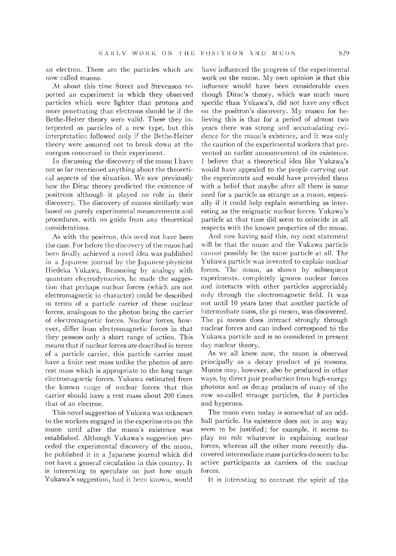an electron. These are the particles which are now called muons.

At about this time Street and Stevenson reported an experiment in which they observed particles which were lighter than protons and more penetrating than electrons should be if the Bethe-Heiter theory were valid. These they interpreted as particles of a new type, but this interpretation followed only if the Bethe-Heiter theory were assumed not to break down at the energies concerned in their experiment.

In discussing the discovery of the muon I have not so far mentioned anything about the theoretical aspects of the situation. We saw previously how the Dirac theory predicted the existence of positrons although it played no role in their discovery. The discovery of muons similarly was based on purely experimental measurements and procedures, with no guide from any theoretical considerations.

As with the positron, this need not have been the case. For before the discovery of the muon had been finally achieved a novel idea was published in a Japanese journal by the Japanese physicist Hiedeka Yukawa. Reasoning by analogy with quantum electrodynamics, he made the suggestion that perhaps nuclear forces (which are not electromagnetic in character) could be described in terms of a particle carrier of these nuclear forces, analogous to the photon being the carrier of electromagnetic forces. Nuclear forces, however, differ from electromagnetic forces in that they possess only a short range of action. This means that if nuclear forces are described in terms of a particle carrier, this particle carrier must have a finite rest mass unlike the photon of zero rest mass which is appropriate to the long range electromagnetic forces. Yukawa estimated from the known range of nuclear forces that this carrier should have a rest mass about 200 times that of an electron.

This novel suggestion of Yukawa was unknown to the workers engaged in the experiments on the muon until after the muon's existence was established. Although Yukawa's suggestion preceded the experimental discovery of the muon, he published it in a Japanese journal which did not have a general circulation in this country. It is interesting to speculate on just how much Yukawa's suggestion, had it been known, would

have influenced the progress of the experimental work on the muon. My own opinion is that this influence would have been considerable even though Dirac's theory, which was much more specific than Yukawa's, did not have any effect on the positron's discovery. My reason for believing this is that for a period of almost two years there was strong and accumulating- evidence for the muon's existence, and it was only the caution of the experimental workers that prevented an earlier announcement of its existence. I believe that a theoretical idea like Yukawa's would have appealed to the people carrying out the experiments and would have provided them with a belief that maybe after all there is some need for a particle as strange as a muon, especially if it could help explain something as interesting as the enigmatic nuclear forces. Yukawa's particle at that time did seem to coincide in all respects with the known properties of the muon.

And now having said this, my next statement will be that the muon and the Yukawa particle cannot possibly be the same particle at all. The Yukawa particle was invented to explain nuclear forces. The muon, as shown by subsequent experiments, completely ignores nuclear forces and interacts with other particles appreciably only through the electromagnetic field. It was not until 10 years later that another particle of intermediate mass, the pi meson, was discovered. The pi meson does interact strongly through nuclear forces and can indeed correspond to the Yukawa particle and is so considered in present day nuclear theory.

As we all know now, the muon is observed principally as a decay product of pi mesons. Muons may, however, also be produced in other ways, by direct pair production from high-energy photons and as decay products of many of the new so-called strange particles, the *k* particles and hyperons.

The muon even today is somewhat of an oddball particle. Its existence does not in any way seem to be justified; for example, it seems to play no role whatever in explaining nuclear forces, whereas all the other more recently discovered intermediate mass particles do seem to be active participants as carriers of the nuclear forces.

It is interesting to contrast the spirit of the